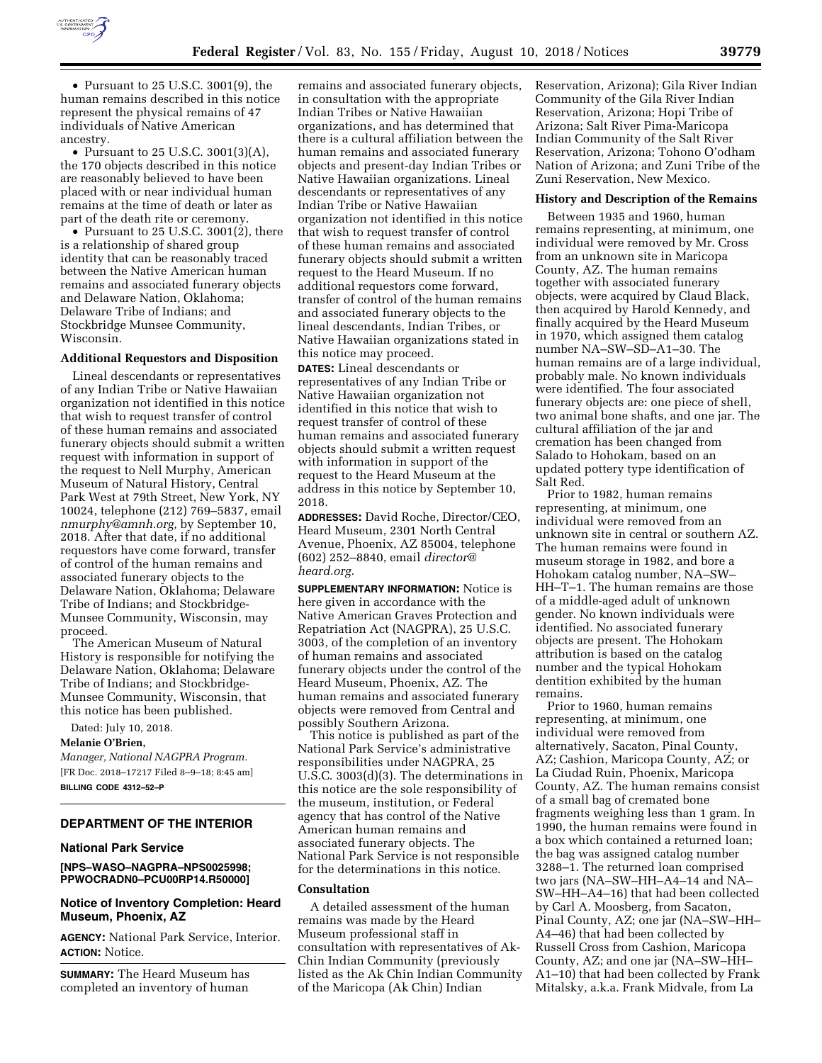

• Pursuant to 25 U.S.C. 3001(9), the human remains described in this notice represent the physical remains of 47 individuals of Native American ancestry.

• Pursuant to 25 U.S.C. 3001(3)(A), the 170 objects described in this notice are reasonably believed to have been placed with or near individual human remains at the time of death or later as part of the death rite or ceremony.

• Pursuant to 25 U.S.C. 3001 $(2)$ , there is a relationship of shared group identity that can be reasonably traced between the Native American human remains and associated funerary objects and Delaware Nation, Oklahoma; Delaware Tribe of Indians; and Stockbridge Munsee Community, Wisconsin.

# **Additional Requestors and Disposition**

Lineal descendants or representatives of any Indian Tribe or Native Hawaiian organization not identified in this notice that wish to request transfer of control of these human remains and associated funerary objects should submit a written request with information in support of the request to Nell Murphy, American Museum of Natural History, Central Park West at 79th Street, New York, NY 10024, telephone (212) 769–5837, email *[nmurphy@amnh.org,](mailto:nmurphy@amnh.org)* by September 10, 2018. After that date, if no additional requestors have come forward, transfer of control of the human remains and associated funerary objects to the Delaware Nation, Oklahoma; Delaware Tribe of Indians; and Stockbridge-Munsee Community, Wisconsin, may proceed.

The American Museum of Natural History is responsible for notifying the Delaware Nation, Oklahoma; Delaware Tribe of Indians; and Stockbridge-Munsee Community, Wisconsin, that this notice has been published.

Dated: July 10, 2018.

**Melanie O'Brien,** 

*Manager, National NAGPRA Program.*  [FR Doc. 2018–17217 Filed 8–9–18; 8:45 am] **BILLING CODE 4312–52–P** 

#### **DEPARTMENT OF THE INTERIOR**

#### **National Park Service**

## **[NPS–WASO–NAGPRA–NPS0025998; PPWOCRADN0–PCU00RP14.R50000]**

## **Notice of Inventory Completion: Heard Museum, Phoenix, AZ**

**AGENCY:** National Park Service, Interior. **ACTION:** Notice.

**SUMMARY:** The Heard Museum has completed an inventory of human

remains and associated funerary objects, in consultation with the appropriate Indian Tribes or Native Hawaiian organizations, and has determined that there is a cultural affiliation between the human remains and associated funerary objects and present-day Indian Tribes or Native Hawaiian organizations. Lineal descendants or representatives of any Indian Tribe or Native Hawaiian organization not identified in this notice that wish to request transfer of control of these human remains and associated funerary objects should submit a written request to the Heard Museum. If no additional requestors come forward, transfer of control of the human remains and associated funerary objects to the lineal descendants, Indian Tribes, or Native Hawaiian organizations stated in this notice may proceed.

**DATES:** Lineal descendants or representatives of any Indian Tribe or Native Hawaiian organization not identified in this notice that wish to request transfer of control of these human remains and associated funerary objects should submit a written request with information in support of the request to the Heard Museum at the address in this notice by September 10, 2018.

**ADDRESSES:** David Roche, Director/CEO, Heard Museum, 2301 North Central Avenue, Phoenix, AZ 85004, telephone (602) 252–8840, email *[director@](mailto:director@heard.org) [heard.org.](mailto:director@heard.org)* 

**SUPPLEMENTARY INFORMATION:** Notice is here given in accordance with the Native American Graves Protection and Repatriation Act (NAGPRA), 25 U.S.C. 3003, of the completion of an inventory of human remains and associated funerary objects under the control of the Heard Museum, Phoenix, AZ. The human remains and associated funerary objects were removed from Central and possibly Southern Arizona.

This notice is published as part of the National Park Service's administrative responsibilities under NAGPRA, 25 U.S.C. 3003(d)(3). The determinations in this notice are the sole responsibility of the museum, institution, or Federal agency that has control of the Native American human remains and associated funerary objects. The National Park Service is not responsible for the determinations in this notice.

## **Consultation**

A detailed assessment of the human remains was made by the Heard Museum professional staff in consultation with representatives of Ak-Chin Indian Community (previously listed as the Ak Chin Indian Community of the Maricopa (Ak Chin) Indian

Reservation, Arizona); Gila River Indian Community of the Gila River Indian Reservation, Arizona; Hopi Tribe of Arizona; Salt River Pima-Maricopa Indian Community of the Salt River Reservation, Arizona; Tohono O'odham Nation of Arizona; and Zuni Tribe of the Zuni Reservation, New Mexico.

# **History and Description of the Remains**

Between 1935 and 1960, human remains representing, at minimum, one individual were removed by Mr. Cross from an unknown site in Maricopa County, AZ. The human remains together with associated funerary objects, were acquired by Claud Black, then acquired by Harold Kennedy, and finally acquired by the Heard Museum in 1970, which assigned them catalog number NA–SW–SD–A1–30. The human remains are of a large individual, probably male. No known individuals were identified. The four associated funerary objects are: one piece of shell, two animal bone shafts, and one jar. The cultural affiliation of the jar and cremation has been changed from Salado to Hohokam, based on an updated pottery type identification of Salt Red.

Prior to 1982, human remains representing, at minimum, one individual were removed from an unknown site in central or southern AZ. The human remains were found in museum storage in 1982, and bore a Hohokam catalog number, NA–SW– HH–T–1. The human remains are those of a middle-aged adult of unknown gender. No known individuals were identified. No associated funerary objects are present. The Hohokam attribution is based on the catalog number and the typical Hohokam dentition exhibited by the human remains.

Prior to 1960, human remains representing, at minimum, one individual were removed from alternatively, Sacaton, Pinal County, AZ; Cashion, Maricopa County, AZ; or La Ciudad Ruin, Phoenix, Maricopa County, AZ. The human remains consist of a small bag of cremated bone fragments weighing less than 1 gram. In 1990, the human remains were found in a box which contained a returned loan; the bag was assigned catalog number 3288–1. The returned loan comprised two jars (NA–SW–HH–A4–14 and NA– SW–HH–A4–16) that had been collected by Carl A. Moosberg, from Sacaton, Pinal County, AZ; one jar (NA–SW–HH– A4–46) that had been collected by Russell Cross from Cashion, Maricopa County, AZ; and one jar (NA–SW–HH– A1–10) that had been collected by Frank Mitalsky, a.k.a. Frank Midvale, from La